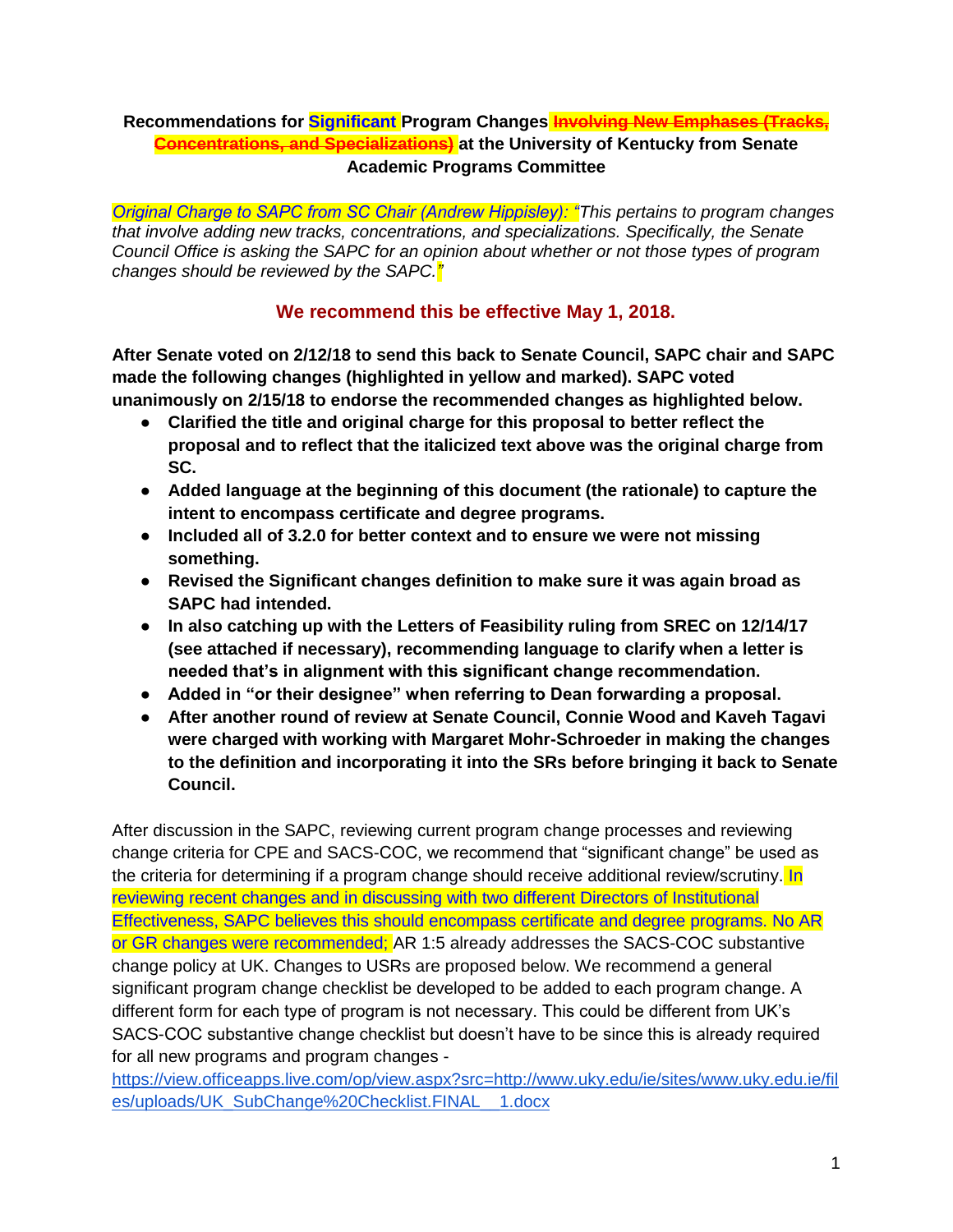### **Recommendations for Significant Program Changes Involving New Emphases (Tracks, Concentrations, and Specializations) at the University of Kentucky from Senate Academic Programs Committee**

*Original Charge to SAPC from SC Chair (Andrew Hippisley): "This pertains to program changes that involve adding new tracks, concentrations, and specializations. Specifically, the Senate Council Office is asking the SAPC for an opinion about whether or not those types of program changes should be reviewed by the SAPC."*

## **We recommend this be effective May 1, 2018.**

**After Senate voted on 2/12/18 to send this back to Senate Council, SAPC chair and SAPC made the following changes (highlighted in yellow and marked). SAPC voted unanimously on 2/15/18 to endorse the recommended changes as highlighted below.**

- **Clarified the title and original charge for this proposal to better reflect the proposal and to reflect that the italicized text above was the original charge from SC.**
- **Added language at the beginning of this document (the rationale) to capture the intent to encompass certificate and degree programs.**
- **Included all of 3.2.0 for better context and to ensure we were not missing something.**
- **Revised the Significant changes definition to make sure it was again broad as SAPC had intended.**
- **In also catching up with the Letters of Feasibility ruling from SREC on 12/14/17 (see attached if necessary), recommending language to clarify when a letter is needed that's in alignment with this significant change recommendation.**
- **Added in "or their designee" when referring to Dean forwarding a proposal.**
- **After another round of review at Senate Council, Connie Wood and Kaveh Tagavi were charged with working with Margaret Mohr-Schroeder in making the changes to the definition and incorporating it into the SRs before bringing it back to Senate Council.**

After discussion in the SAPC, reviewing current program change processes and reviewing change criteria for CPE and SACS-COC, we recommend that "significant change" be used as the criteria for determining if a program change should receive additional review/scrutiny. In reviewing recent changes and in discussing with two different Directors of Institutional Effectiveness, SAPC believes this should encompass certificate and degree programs. No AR or GR changes were recommended; AR 1:5 already addresses the SACS-COC substantive change policy at UK. Changes to USRs are proposed below. We recommend a general significant program change checklist be developed to be added to each program change. A different form for each type of program is not necessary. This could be different from UK's SACS-COC substantive change checklist but doesn't have to be since this is already required for all new programs and program changes -

[https://view.officeapps.live.com/op/view.aspx?src=http://www.uky.edu/ie/sites/www.uky.edu.ie/fil](https://view.officeapps.live.com/op/view.aspx?src=http://www.uky.edu/ie/sites/www.uky.edu.ie/files/uploads/UK_SubChange%20Checklist.FINAL__1.docx) [es/uploads/UK\\_SubChange%20Checklist.FINAL\\_\\_1.docx](https://view.officeapps.live.com/op/view.aspx?src=http://www.uky.edu/ie/sites/www.uky.edu.ie/files/uploads/UK_SubChange%20Checklist.FINAL__1.docx)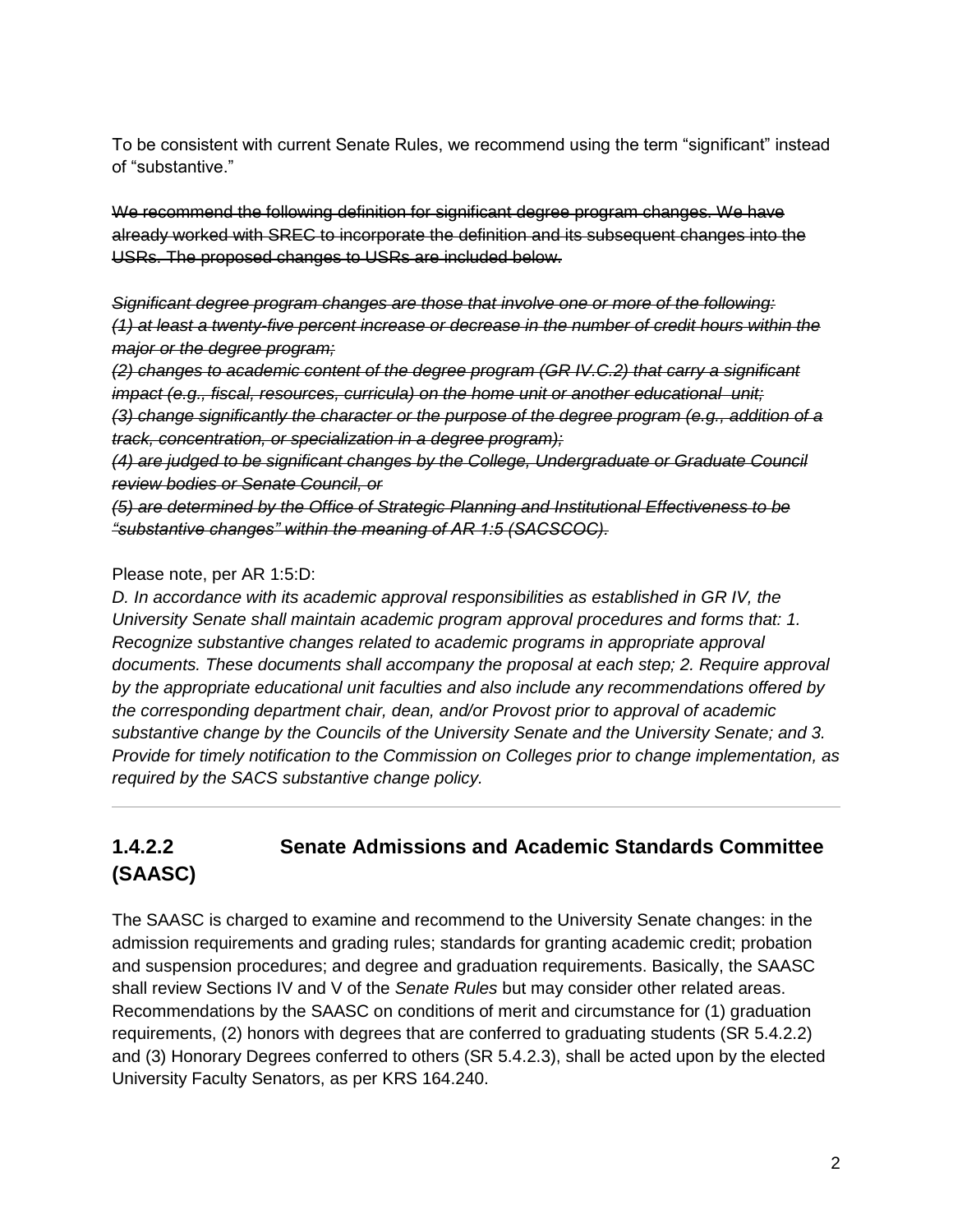To be consistent with current Senate Rules, we recommend using the term "significant" instead of "substantive."

We recommend the following definition for significant degree program changes. We have already worked with SREC to incorporate the definition and its subsequent changes into the USRs. The proposed changes to USRs are included below.

*Significant degree program changes are those that involve one or more of the following: (1) at least a twenty-five percent increase or decrease in the number of credit hours within the major or the degree program;* 

*(2) changes to academic content of the degree program (GR IV.C.2) that carry a significant impact (e.g., fiscal, resources, curricula) on the home unit or another educational unit; (3) change significantly the character or the purpose of the degree program (e.g., addition of a track, concentration, or specialization in a degree program);* 

*(4) are judged to be significant changes by the College, Undergraduate or Graduate Council review bodies or Senate Council, or* 

*(5) are determined by the Office of Strategic Planning and Institutional Effectiveness to be "substantive changes" within the meaning of AR 1:5 (SACSCOC).* 

### Please note, per AR 1:5:D:

*D. In accordance with its academic approval responsibilities as established in GR IV, the University Senate shall maintain academic program approval procedures and forms that: 1. Recognize substantive changes related to academic programs in appropriate approval documents. These documents shall accompany the proposal at each step; 2. Require approval by the appropriate educational unit faculties and also include any recommendations offered by the corresponding department chair, dean, and/or Provost prior to approval of academic substantive change by the Councils of the University Senate and the University Senate; and 3. Provide for timely notification to the Commission on Colleges prior to change implementation, as required by the SACS substantive change policy.*

# **1.4.2.2 Senate Admissions and Academic Standards Committee (SAASC)**

The SAASC is charged to examine and recommend to the University Senate changes: in the admission requirements and grading rules; standards for granting academic credit; probation and suspension procedures; and degree and graduation requirements. Basically, the SAASC shall review Sections IV and V of the *Senate Rules* but may consider other related areas. Recommendations by the SAASC on conditions of merit and circumstance for (1) graduation requirements, (2) honors with degrees that are conferred to graduating students (SR 5.4.2.2) and (3) Honorary Degrees conferred to others (SR 5.4.2.3), shall be acted upon by the elected University Faculty Senators, as per KRS 164.240.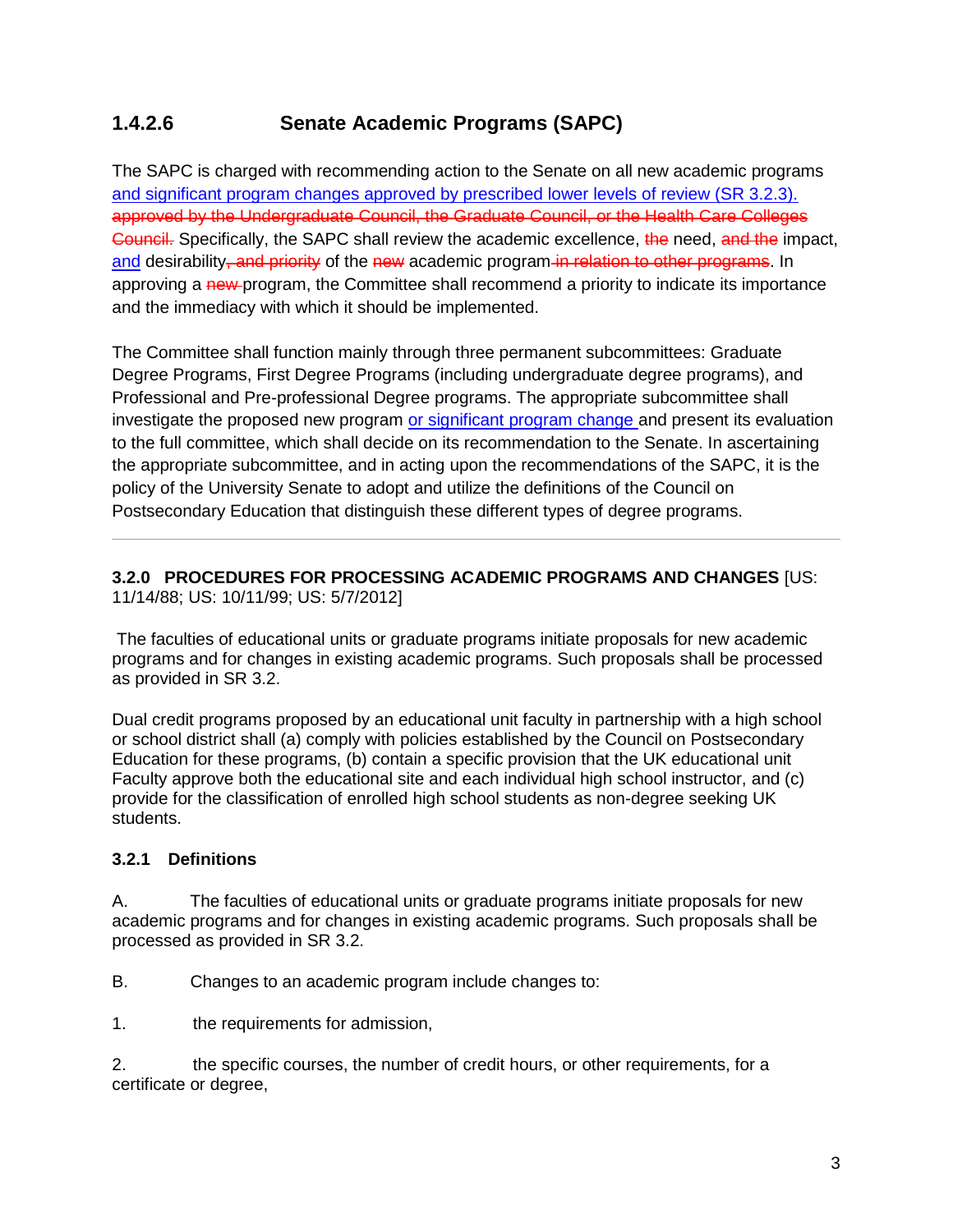## **1.4.2.6 Senate Academic Programs (SAPC)**

The SAPC is charged with recommending action to the Senate on all new academic programs and significant program changes approved by prescribed lower levels of review (SR 3.2.3). approved by the Undergraduate Council, the Graduate Council, or the Health Care Colleges Council. Specifically, the SAPC shall review the academic excellence, the need, and the impact, and desirability–and priority of the new academic program in relation to other programs. In approving a new-program, the Committee shall recommend a priority to indicate its importance and the immediacy with which it should be implemented.

The Committee shall function mainly through three permanent subcommittees: Graduate Degree Programs, First Degree Programs (including undergraduate degree programs), and Professional and Pre-professional Degree programs. The appropriate subcommittee shall investigate the proposed new program or significant program change and present its evaluation to the full committee, which shall decide on its recommendation to the Senate. In ascertaining the appropriate subcommittee, and in acting upon the recommendations of the SAPC, it is the policy of the University Senate to adopt and utilize the definitions of the Council on Postsecondary Education that distinguish these different types of degree programs.

#### **3.2.0 PROCEDURES FOR PROCESSING ACADEMIC PROGRAMS AND CHANGES** [US: 11/14/88; US: 10/11/99; US: 5/7/2012]

The faculties of educational units or graduate programs initiate proposals for new academic programs and for changes in existing academic programs. Such proposals shall be processed as provided in SR 3.2.

Dual credit programs proposed by an educational unit faculty in partnership with a high school or school district shall (a) comply with policies established by the Council on Postsecondary Education for these programs, (b) contain a specific provision that the UK educational unit Faculty approve both the educational site and each individual high school instructor, and (c) provide for the classification of enrolled high school students as non-degree seeking UK students.

### **3.2.1 Definitions**

A. The faculties of educational units or graduate programs initiate proposals for new academic programs and for changes in existing academic programs. Such proposals shall be processed as provided in SR 3.2.

B. Changes to an academic program include changes to:

1. the requirements for admission,

2. the specific courses, the number of credit hours, or other requirements, for a certificate or degree,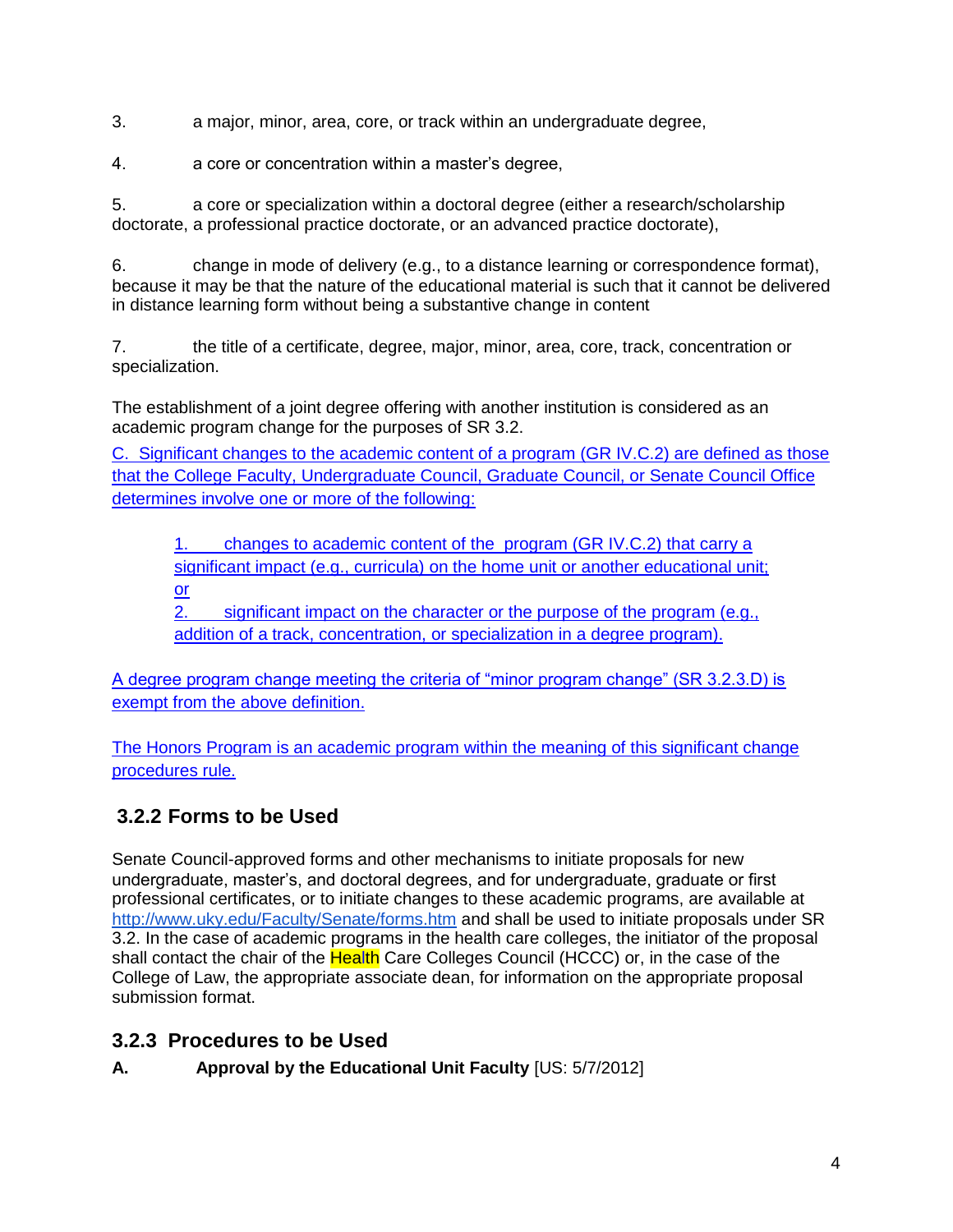3. a major, minor, area, core, or track within an undergraduate degree,

4. a core or concentration within a master's degree,

5. a core or specialization within a doctoral degree (either a research/scholarship doctorate, a professional practice doctorate, or an advanced practice doctorate),

6. change in mode of delivery (e.g., to a distance learning or correspondence format), because it may be that the nature of the educational material is such that it cannot be delivered in distance learning form without being a substantive change in content

7. the title of a certificate, degree, major, minor, area, core, track, concentration or specialization.

The establishment of a joint degree offering with another institution is considered as an academic program change for the purposes of SR 3.2.

C. Significant changes to the academic content of a program (GR IV.C.2) are defined as those that the College Faculty, Undergraduate Council, Graduate Council, or Senate Council Office determines involve one or more of the following:

1. changes to academic content of the program (GR IV.C.2) that carry a significant impact (e.g., curricula) on the home unit or another educational unit; or

2. significant impact on the character or the purpose of the program (e.g., addition of a track, concentration, or specialization in a degree program).

A degree program change meeting the criteria of "minor program change" (SR 3.2.3.D) is exempt from the above definition.

The Honors Program is an academic program within the meaning of this significant change procedures rule.

# **3.2.2 Forms to be Used**

Senate Council-approved forms and other mechanisms to initiate proposals for new undergraduate, master's, and doctoral degrees, and for undergraduate, graduate or first professional certificates, or to initiate changes to these academic programs, are available a[t](http://www.uky.edu/Faculty/Senate/forms.htm) <http://www.uky.edu/Faculty/Senate/forms.htm> and shall be used to initiate proposals under SR 3.2. In the case of academic programs in the health care colleges, the initiator of the proposal shall contact the chair of the Health Care Colleges Council (HCCC) or, in the case of the College of Law, the appropriate associate dean, for information on the appropriate proposal submission format.

# **3.2.3 Procedures to be Used**

## **A. Approval by the Educational Unit Faculty** [US: 5/7/2012]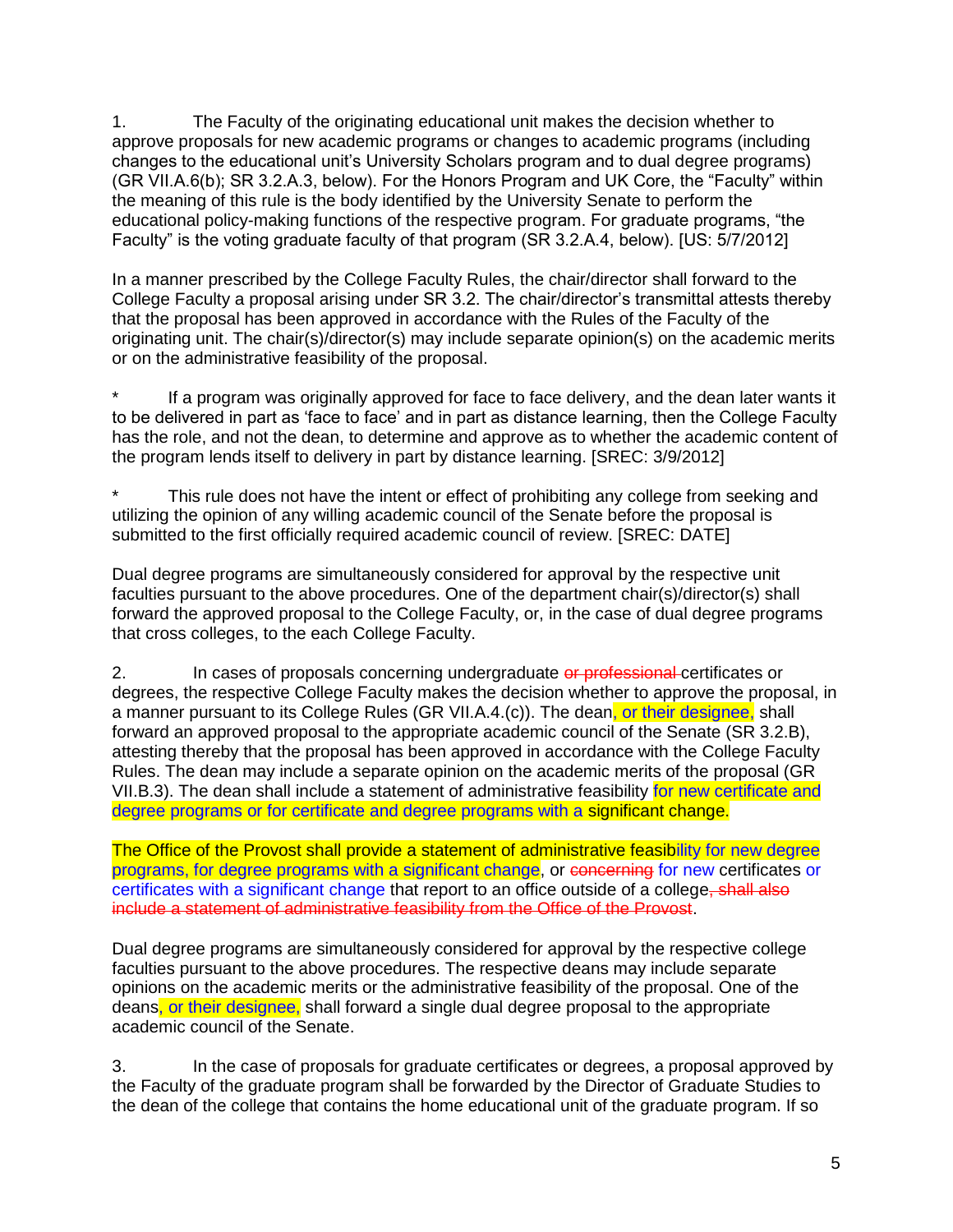1. The Faculty of the originating educational unit makes the decision whether to approve proposals for new academic programs or changes to academic programs (including changes to the educational unit's University Scholars program and to dual degree programs) (GR VII.A.6(b); SR 3.2.A.3, below). For the Honors Program and UK Core, the "Faculty" within the meaning of this rule is the body identified by the University Senate to perform the educational policy-making functions of the respective program. For graduate programs, "the Faculty" is the voting graduate faculty of that program (SR 3.2.A.4, below). [US: 5/7/2012]

In a manner prescribed by the College Faculty Rules, the chair/director shall forward to the College Faculty a proposal arising under SR 3.2. The chair/director's transmittal attests thereby that the proposal has been approved in accordance with the Rules of the Faculty of the originating unit. The chair(s)/director(s) may include separate opinion(s) on the academic merits or on the administrative feasibility of the proposal.

If a program was originally approved for face to face delivery, and the dean later wants it to be delivered in part as 'face to face' and in part as distance learning, then the College Faculty has the role, and not the dean, to determine and approve as to whether the academic content of the program lends itself to delivery in part by distance learning. [SREC: 3/9/2012]

This rule does not have the intent or effect of prohibiting any college from seeking and utilizing the opinion of any willing academic council of the Senate before the proposal is submitted to the first officially required academic council of review. [SREC: DATE]

Dual degree programs are simultaneously considered for approval by the respective unit faculties pursuant to the above procedures. One of the department chair(s)/director(s) shall forward the approved proposal to the College Faculty, or, in the case of dual degree programs that cross colleges, to the each College Faculty.

2. In cases of proposals concerning undergraduate or professional certificates or degrees, the respective College Faculty makes the decision whether to approve the proposal, in a manner pursuant to its College Rules (GR VII.A.4.(c)). The dean, or their designee, shall forward an approved proposal to the appropriate academic council of the Senate (SR 3.2.B), attesting thereby that the proposal has been approved in accordance with the College Faculty Rules. The dean may include a separate opinion on the academic merits of the proposal (GR VII.B.3). The dean shall include a statement of administrative feasibility for new certificate and degree programs or for certificate and degree programs with a significant change.

The Office of the Provost shall provide a statement of administrative feasibility for new degree programs, for degree programs with a significant change, or concerning for new certificates or certificates with a significant change that report to an office outside of a college, shall also include a statement of administrative feasibility from the Office of the Provost.

Dual degree programs are simultaneously considered for approval by the respective college faculties pursuant to the above procedures. The respective deans may include separate opinions on the academic merits or the administrative feasibility of the proposal. One of the deans, or their designee, shall forward a single dual degree proposal to the appropriate academic council of the Senate.

3. In the case of proposals for graduate certificates or degrees, a proposal approved by the Faculty of the graduate program shall be forwarded by the Director of Graduate Studies to the dean of the college that contains the home educational unit of the graduate program. If so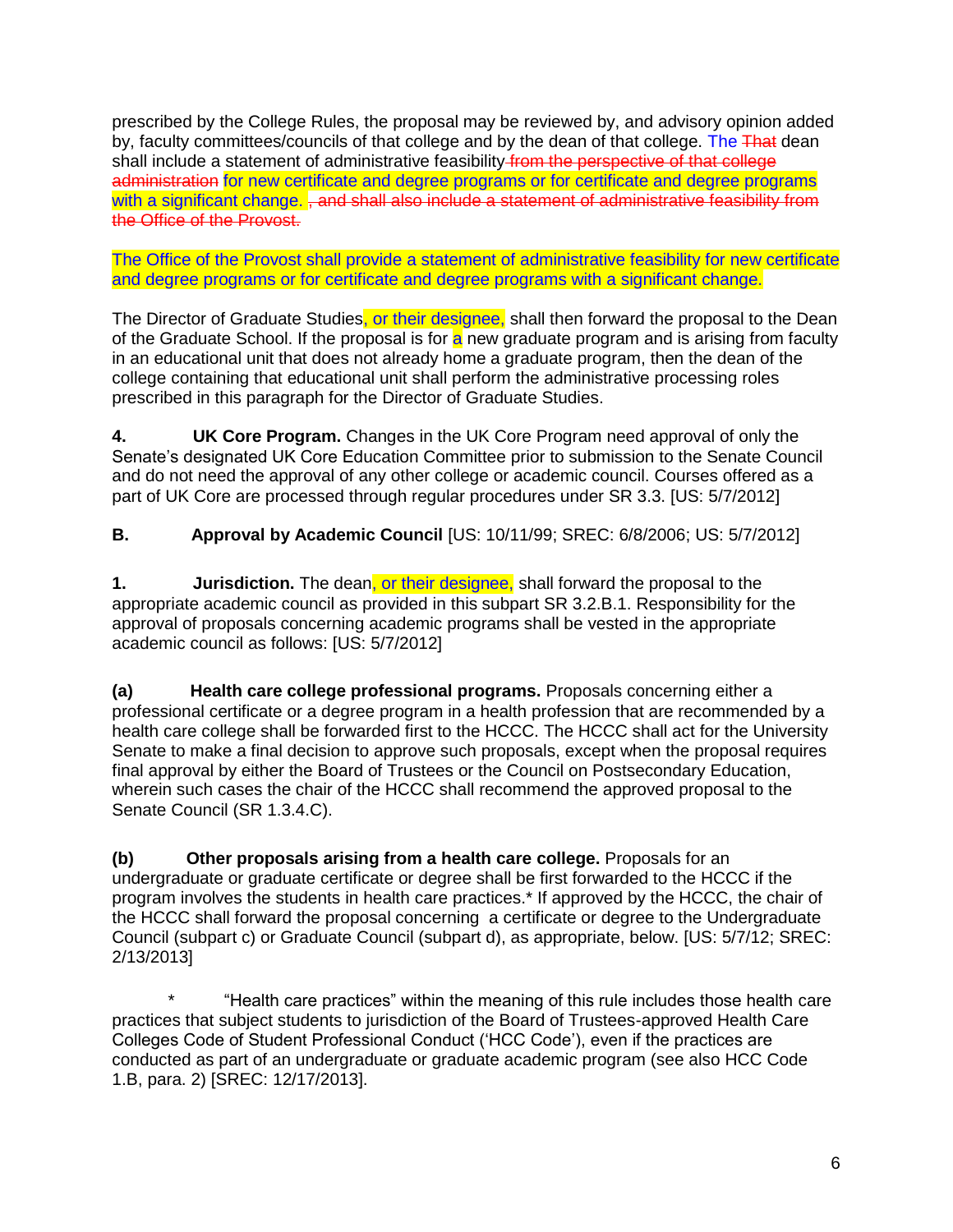prescribed by the College Rules, the proposal may be reviewed by, and advisory opinion added by, faculty committees/councils of that college and by the dean of that college. The That dean shall include a statement of administrative feasibility from the perspective of that college administration for new certificate and degree programs or for certificate and degree programs with a significant change. , and shall also include a statement of administrative feasibility from the Office of the Provost.

The Office of the Provost shall provide a statement of administrative feasibility for new certificate and degree programs or for certificate and degree programs with a significant change.

The Director of Graduate Studies, or their designee, shall then forward the proposal to the Dean of the Graduate School. If the proposal is for a new graduate program and is arising from faculty in an educational unit that does not already home a graduate program, then the dean of the college containing that educational unit shall perform the administrative processing roles prescribed in this paragraph for the Director of Graduate Studies.

**4. UK Core Program.** Changes in the UK Core Program need approval of only the Senate's designated UK Core Education Committee prior to submission to the Senate Council and do not need the approval of any other college or academic council. Courses offered as a part of UK Core are processed through regular procedures under SR 3.3. [US: 5/7/2012]

**B. Approval by Academic Council** [US: 10/11/99; SREC: 6/8/2006; US: 5/7/2012]

**1. Jurisdiction.** The dean, or their designee, shall forward the proposal to the appropriate academic council as provided in this subpart SR 3.2.B.1. Responsibility for the approval of proposals concerning academic programs shall be vested in the appropriate academic council as follows: [US: 5/7/2012]

**(a) Health care college professional programs.** Proposals concerning either a professional certificate or a degree program in a health profession that are recommended by a health care college shall be forwarded first to the HCCC. The HCCC shall act for the University Senate to make a final decision to approve such proposals, except when the proposal requires final approval by either the Board of Trustees or the Council on Postsecondary Education, wherein such cases the chair of the HCCC shall recommend the approved proposal to the Senate Council (SR 1.3.4.C).

**(b) Other proposals arising from a health care college.** Proposals for an undergraduate or graduate certificate or degree shall be first forwarded to the HCCC if the program involves the students in health care practices.\* If approved by the HCCC, the chair of the HCCC shall forward the proposal concerning a certificate or degree to the Undergraduate Council (subpart c) or Graduate Council (subpart d), as appropriate, below. [US: 5/7/12; SREC: 2/13/2013]

\* "Health care practices" within the meaning of this rule includes those health care practices that subject students to jurisdiction of the Board of Trustees-approved Health Care Colleges Code of Student Professional Conduct ('HCC Code'), even if the practices are conducted as part of an undergraduate or graduate academic program (see also HCC Code 1.B, para. 2) [SREC: 12/17/2013].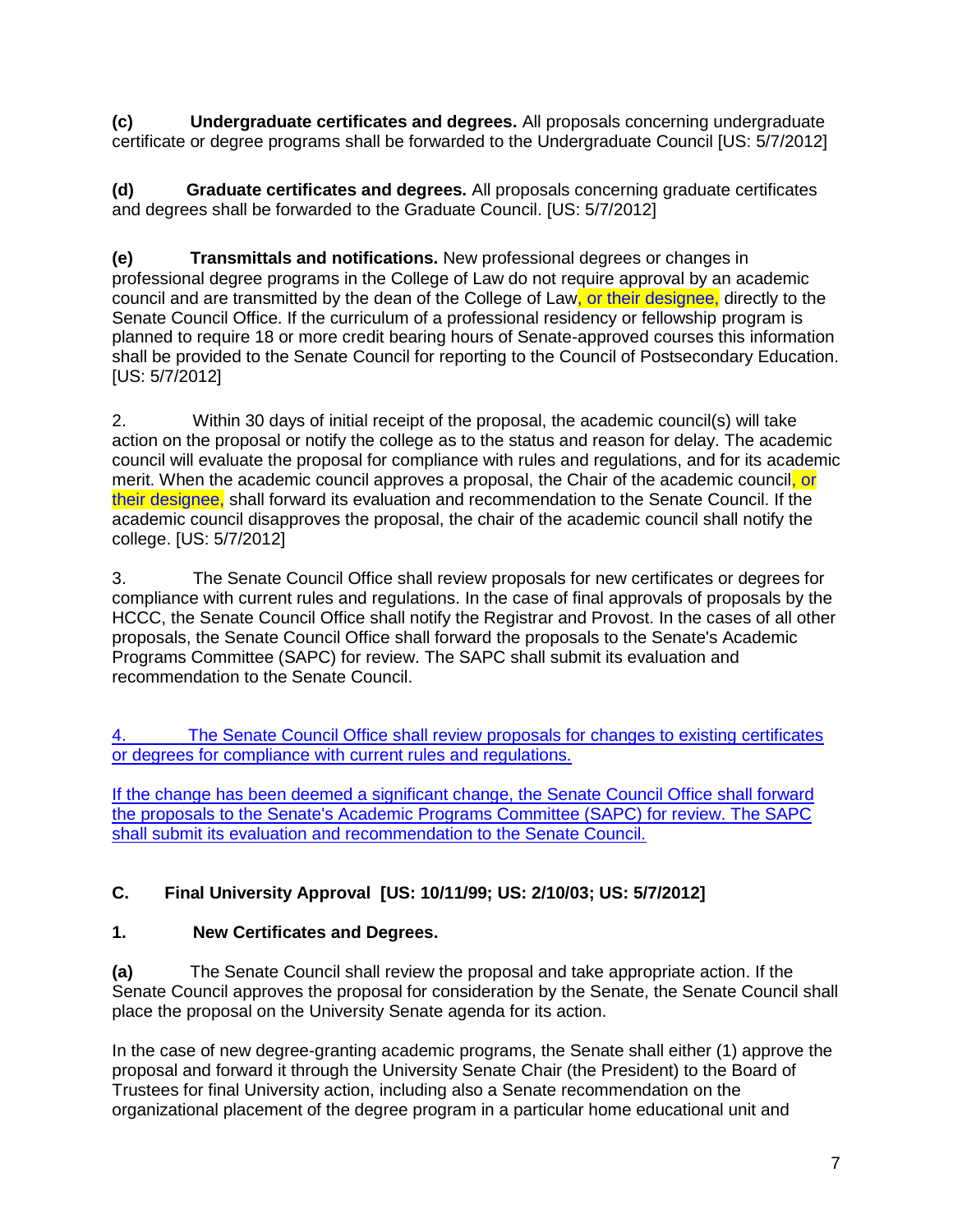**(c) Undergraduate certificates and degrees.** All proposals concerning undergraduate certificate or degree programs shall be forwarded to the Undergraduate Council [US: 5/7/2012]

**(d) Graduate certificates and degrees.** All proposals concerning graduate certificates and degrees shall be forwarded to the Graduate Council. [US: 5/7/2012]

**(e) Transmittals and notifications.** New professional degrees or changes in professional degree programs in the College of Law do not require approval by an academic council and are transmitted by the dean of the College of Law, or their designee, directly to the Senate Council Office. If the curriculum of a professional residency or fellowship program is planned to require 18 or more credit bearing hours of Senate-approved courses this information shall be provided to the Senate Council for reporting to the Council of Postsecondary Education. [US: 5/7/2012]

2. Within 30 days of initial receipt of the proposal, the academic council(s) will take action on the proposal or notify the college as to the status and reason for delay. The academic council will evaluate the proposal for compliance with rules and regulations, and for its academic merit. When the academic council approves a proposal, the Chair of the academic council, or their designee, shall forward its evaluation and recommendation to the Senate Council. If the academic council disapproves the proposal, the chair of the academic council shall notify the college. [US: 5/7/2012]

3. The Senate Council Office shall review proposals for new certificates or degrees for compliance with current rules and regulations. In the case of final approvals of proposals by the HCCC, the Senate Council Office shall notify the Registrar and Provost. In the cases of all other proposals, the Senate Council Office shall forward the proposals to the Senate's Academic Programs Committee (SAPC) for review. The SAPC shall submit its evaluation and recommendation to the Senate Council.

4. The Senate Council Office shall review proposals for changes to existing certificates or degrees for compliance with current rules and regulations.

If the change has been deemed a significant change, the Senate Council Office shall forward the proposals to the Senate's Academic Programs Committee (SAPC) for review. The SAPC shall submit its evaluation and recommendation to the Senate Council.

## **C. Final University Approval [US: 10/11/99; US: 2/10/03; US: 5/7/2012]**

## **1. New Certificates and Degrees.**

**(a)** The Senate Council shall review the proposal and take appropriate action. If the Senate Council approves the proposal for consideration by the Senate, the Senate Council shall place the proposal on the University Senate agenda for its action.

In the case of new degree-granting academic programs, the Senate shall either (1) approve the proposal and forward it through the University Senate Chair (the President) to the Board of Trustees for final University action, including also a Senate recommendation on the organizational placement of the degree program in a particular home educational unit and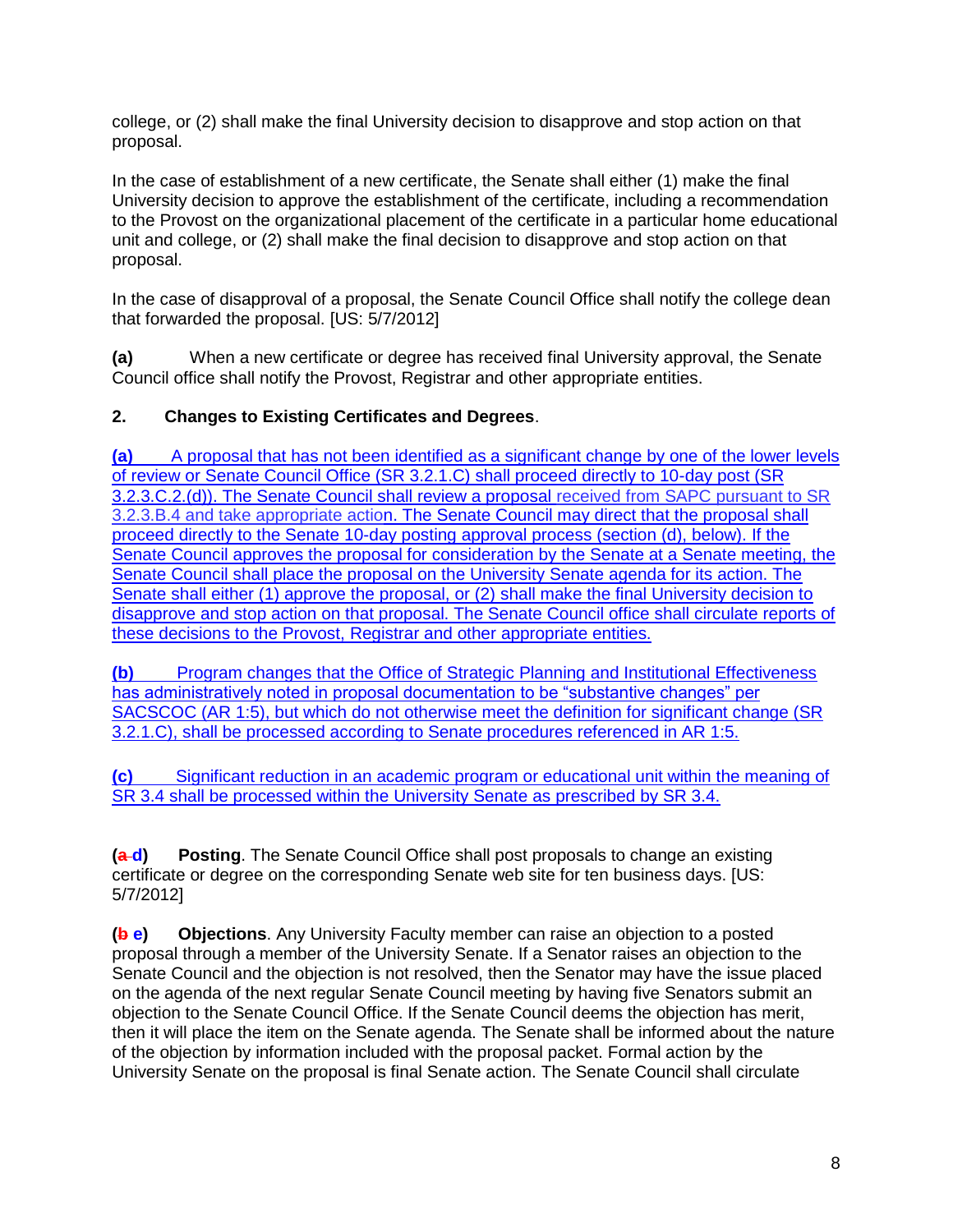college, or (2) shall make the final University decision to disapprove and stop action on that proposal.

In the case of establishment of a new certificate, the Senate shall either (1) make the final University decision to approve the establishment of the certificate, including a recommendation to the Provost on the organizational placement of the certificate in a particular home educational unit and college, or (2) shall make the final decision to disapprove and stop action on that proposal.

In the case of disapproval of a proposal, the Senate Council Office shall notify the college dean that forwarded the proposal. [US: 5/7/2012]

**(a)** When a new certificate or degree has received final University approval, the Senate Council office shall notify the Provost, Registrar and other appropriate entities.

### **2. Changes to Existing Certificates and Degrees**.

**(a)** A proposal that has not been identified as a significant change by one of the lower levels of review or Senate Council Office (SR 3.2.1.C) shall proceed directly to 10-day post (SR 3.2.3.C.2.(d)). The Senate Council shall review a proposal received from SAPC pursuant to SR 3.2.3.B.4 and take appropriate action. The Senate Council may direct that the proposal shall proceed directly to the Senate 10-day posting approval process (section (d), below). If the Senate Council approves the proposal for consideration by the Senate at a Senate meeting, the Senate Council shall place the proposal on the University Senate agenda for its action. The Senate shall either (1) approve the proposal, or (2) shall make the final University decision to disapprove and stop action on that proposal. The Senate Council office shall circulate reports of these decisions to the Provost, Registrar and other appropriate entities.

**(b)** Program changes that the Office of Strategic Planning and Institutional Effectiveness has administratively noted in proposal documentation to be "substantive changes" per SACSCOC (AR 1:5), but which do not otherwise meet the definition for significant change (SR 3.2.1.C), shall be processed according to Senate procedures referenced in AR 1:5.

**(c)** Significant reduction in an academic program or educational unit within the meaning of SR 3.4 shall be processed within the University Senate as prescribed by SR 3.4.

**(a d) Posting**. The Senate Council Office shall post proposals to change an existing certificate or degree on the corresponding Senate web site for ten business days. [US: 5/7/2012]

**(b e) Objections**. Any University Faculty member can raise an objection to a posted proposal through a member of the University Senate. If a Senator raises an objection to the Senate Council and the objection is not resolved, then the Senator may have the issue placed on the agenda of the next regular Senate Council meeting by having five Senators submit an objection to the Senate Council Office. If the Senate Council deems the objection has merit, then it will place the item on the Senate agenda. The Senate shall be informed about the nature of the objection by information included with the proposal packet. Formal action by the University Senate on the proposal is final Senate action. The Senate Council shall circulate